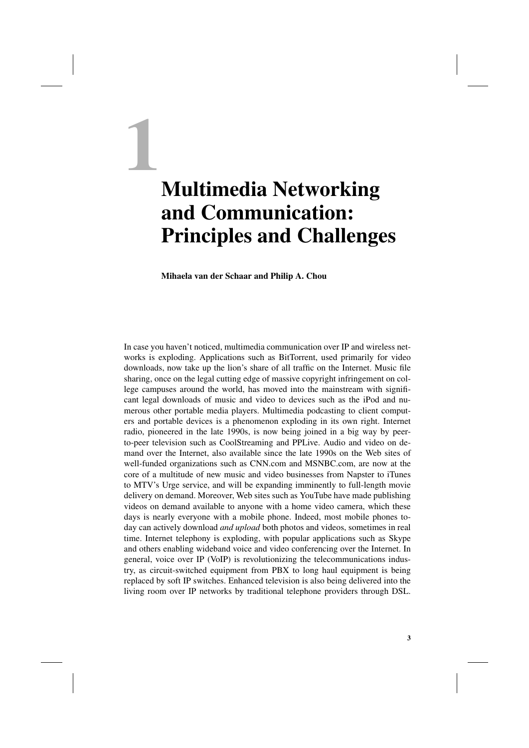# 1 Multimedia Networking and Communication: Principles and Challenges

Mihaela van der Schaar and Philip A. Chou

In case you haven't noticed, multimedia communication over IP and wireless networks is exploding. Applications such as BitTorrent, used primarily for video downloads, now take up the lion's share of all traffic on the Internet. Music file sharing, once on the legal cutting edge of massive copyright infringement on college campuses around the world, has moved into the mainstream with significant legal downloads of music and video to devices such as the iPod and numerous other portable media players. Multimedia podcasting to client computers and portable devices is a phenomenon exploding in its own right. Internet radio, pioneered in the late 1990s, is now being joined in a big way by peerto-peer television such as CoolStreaming and PPLive. Audio and video on demand over the Internet, also available since the late 1990s on the Web sites of well-funded organizations such as CNN.com and MSNBC.com, are now at the core of a multitude of new music and video businesses from Napster to iTunes to MTV's Urge service, and will be expanding imminently to full-length movie delivery on demand. Moreover, Web sites such as YouTube have made publishing videos on demand available to anyone with a home video camera, which these days is nearly everyone with a mobile phone. Indeed, most mobile phones today can actively download *and upload* both photos and videos, sometimes in real time. Internet telephony is exploding, with popular applications such as Skype and others enabling wideband voice and video conferencing over the Internet. In general, voice over IP (VoIP) is revolutionizing the telecommunications industry, as circuit-switched equipment from PBX to long haul equipment is being replaced by soft IP switches. Enhanced television is also being delivered into the living room over IP networks by traditional telephone providers through DSL.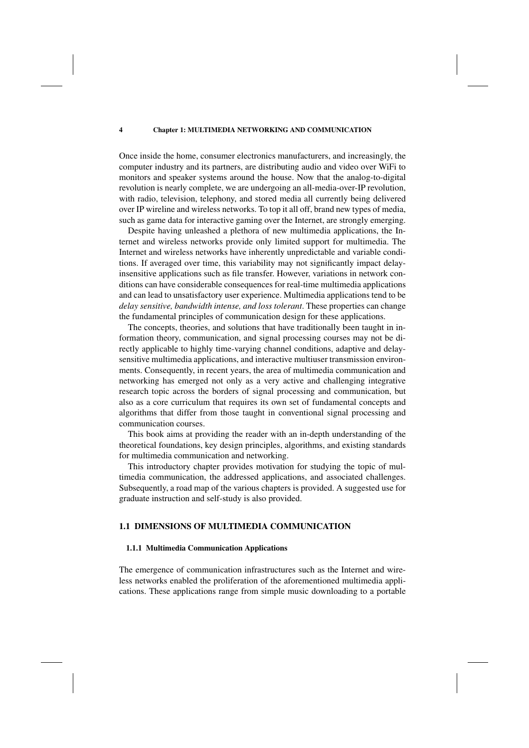# 4 Chapter 1: MULTIMEDIA NETWORKING AND COMMUNICATION

Once inside the home, consumer electronics manufacturers, and increasingly, the computer industry and its partners, are distributing audio and video over WiFi to monitors and speaker systems around the house. Now that the analog-to-digital revolution is nearly complete, we are undergoing an all-media-over-IP revolution, with radio, television, telephony, and stored media all currently being delivered over IP wireline and wireless networks. To top it all off, brand new types of media, such as game data for interactive gaming over the Internet, are strongly emerging.

Despite having unleashed a plethora of new multimedia applications, the Internet and wireless networks provide only limited support for multimedia. The Internet and wireless networks have inherently unpredictable and variable conditions. If averaged over time, this variability may not significantly impact delayinsensitive applications such as file transfer. However, variations in network conditions can have considerable consequences for real-time multimedia applications and can lead to unsatisfactory user experience. Multimedia applications tend to be delay sensitive, bandwidth intense, and loss tolerant. These properties can change the fundamental principles of communication design for these applications.

The concepts, theories, and solutions that have traditionally been taught in information theory, communication, and signal processing courses may not be directly applicable to highly time-varying channel conditions, adaptive and delaysensitive multimedia applications, and interactive multiuser transmission environments. Consequently, in recent years, the area of multimedia communication and networking has emerged not only as a very active and challenging integrative research topic across the borders of signal processing and communication, but also as a core curriculum that requires its own set of fundamental concepts and algorithms that differ from those taught in conventional signal processing and communication courses.

This book aims at providing the reader with an in-depth understanding of the theoretical foundations, key design principles, algorithms, and existing standards for multimedia communication and networking.

This introductory chapter provides motivation for studying the topic of multimedia communication, the addressed applications, and associated challenges. Subsequently, a road map of the various chapters is provided. A suggested use for graduate instruction and self-study is also provided.

#### 1.1 DIMENSIONS OF MULTIMEDIA COMMUNICATION

#### 1.1.1 Multimedia Communication Applications

The emergence of communication infrastructures such as the Internet and wireless networks enabled the proliferation of the aforementioned multimedia applications. These applications range from simple music downloading to a portable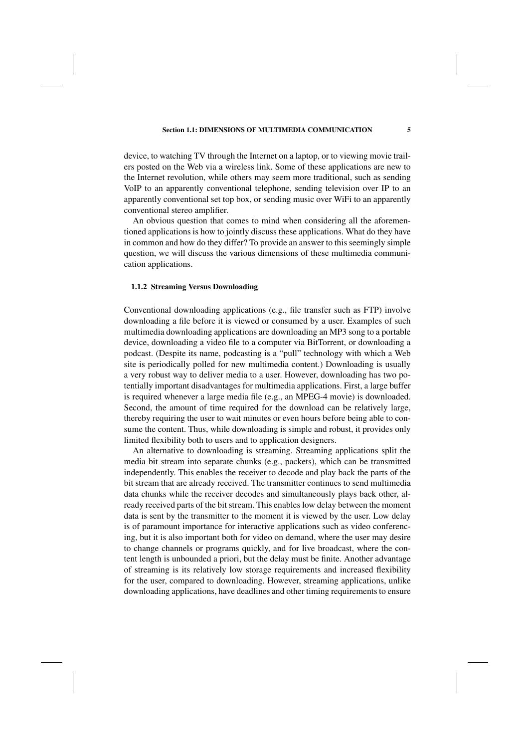### Section 1.1: DIMENSIONS OF MULTIMEDIA COMMUNICATION 5

device, to watching TV through the Internet on a laptop, or to viewing movie trailers posted on the Web via a wireless link. Some of these applications are new to the Internet revolution, while others may seem more traditional, such as sending VoIP to an apparently conventional telephone, sending television over IP to an apparently conventional set top box, or sending music over WiFi to an apparently conventional stereo amplifier.

An obvious question that comes to mind when considering all the aforementioned applications is how to jointly discuss these applications. What do they have in common and how do they differ? To provide an answer to this seemingly simple question, we will discuss the various dimensions of these multimedia communication applications.

# 1.1.2 Streaming Versus Downloading

Conventional downloading applications (e.g., file transfer such as FTP) involve downloading a file before it is viewed or consumed by a user. Examples of such multimedia downloading applications are downloading an MP3 song to a portable device, downloading a video file to a computer via BitTorrent, or downloading a podcast. (Despite its name, podcasting is a "pull" technology with which a Web site is periodically polled for new multimedia content.) Downloading is usually a very robust way to deliver media to a user. However, downloading has two potentially important disadvantages for multimedia applications. First, a large buffer is required whenever a large media file (e.g., an MPEG-4 movie) is downloaded. Second, the amount of time required for the download can be relatively large, thereby requiring the user to wait minutes or even hours before being able to consume the content. Thus, while downloading is simple and robust, it provides only limited flexibility both to users and to application designers.

An alternative to downloading is streaming. Streaming applications split the media bit stream into separate chunks (e.g., packets), which can be transmitted independently. This enables the receiver to decode and play back the parts of the bit stream that are already received. The transmitter continues to send multimedia data chunks while the receiver decodes and simultaneously plays back other, already received parts of the bit stream. This enables low delay between the moment data is sent by the transmitter to the moment it is viewed by the user. Low delay is of paramount importance for interactive applications such as video conferencing, but it is also important both for video on demand, where the user may desire to change channels or programs quickly, and for live broadcast, where the content length is unbounded a priori, but the delay must be finite. Another advantage of streaming is its relatively low storage requirements and increased flexibility for the user, compared to downloading. However, streaming applications, unlike downloading applications, have deadlines and other timing requirements to ensure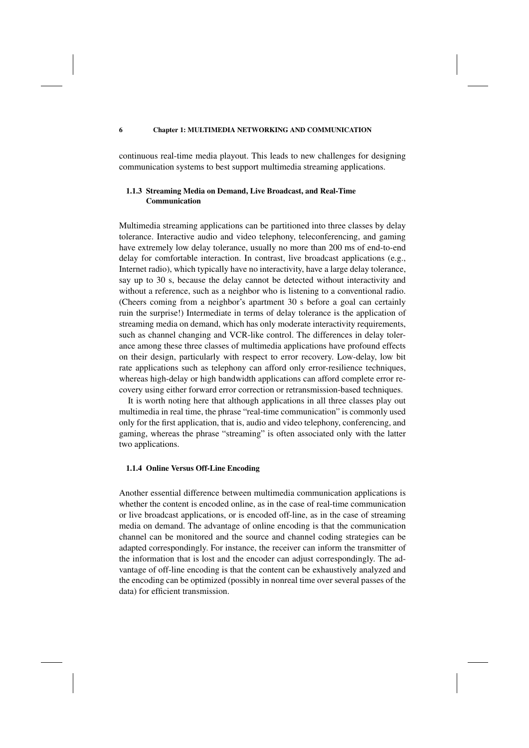#### 6 Chapter 1: MULTIMEDIA NETWORKING AND COMMUNICATION

continuous real-time media playout. This leads to new challenges for designing communication systems to best support multimedia streaming applications.

# 1.1.3 Streaming Media on Demand, Live Broadcast, and Real-Time Communication

Multimedia streaming applications can be partitioned into three classes by delay tolerance. Interactive audio and video telephony, teleconferencing, and gaming have extremely low delay tolerance, usually no more than 200 ms of end-to-end delay for comfortable interaction. In contrast, live broadcast applications (e.g., Internet radio), which typically have no interactivity, have a large delay tolerance, say up to 30 s, because the delay cannot be detected without interactivity and without a reference, such as a neighbor who is listening to a conventional radio. (Cheers coming from a neighbor's apartment 30 s before a goal can certainly ruin the surprise!) Intermediate in terms of delay tolerance is the application of streaming media on demand, which has only moderate interactivity requirements, such as channel changing and VCR-like control. The differences in delay tolerance among these three classes of multimedia applications have profound effects on their design, particularly with respect to error recovery. Low-delay, low bit rate applications such as telephony can afford only error-resilience techniques, whereas high-delay or high bandwidth applications can afford complete error recovery using either forward error correction or retransmission-based techniques.

It is worth noting here that although applications in all three classes play out multimedia in real time, the phrase "real-time communication" is commonly used only for the first application, that is, audio and video telephony, conferencing, and gaming, whereas the phrase "streaming" is often associated only with the latter two applications.

#### 1.1.4 Online Versus Off-Line Encoding

Another essential difference between multimedia communication applications is whether the content is encoded online, as in the case of real-time communication or live broadcast applications, or is encoded off-line, as in the case of streaming media on demand. The advantage of online encoding is that the communication channel can be monitored and the source and channel coding strategies can be adapted correspondingly. For instance, the receiver can inform the transmitter of the information that is lost and the encoder can adjust correspondingly. The advantage of off-line encoding is that the content can be exhaustively analyzed and the encoding can be optimized (possibly in nonreal time over several passes of the data) for efficient transmission.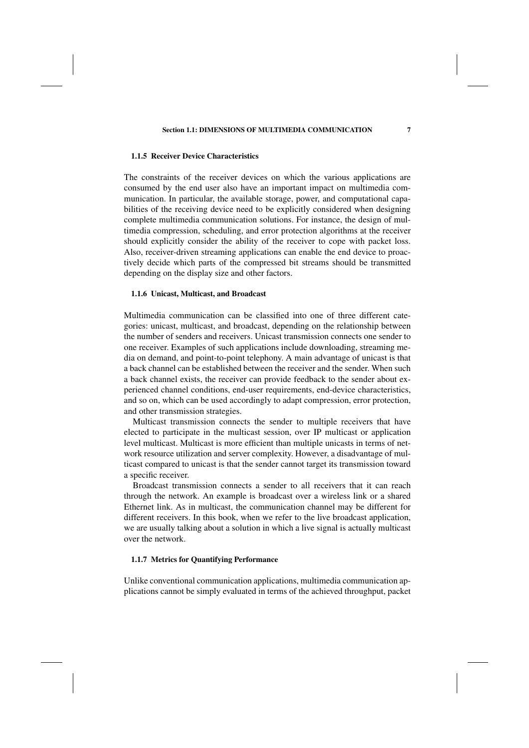#### Section 1.1: DIMENSIONS OF MULTIMEDIA COMMUNICATION 7

#### 1.1.5 Receiver Device Characteristics

The constraints of the receiver devices on which the various applications are consumed by the end user also have an important impact on multimedia communication. In particular, the available storage, power, and computational capabilities of the receiving device need to be explicitly considered when designing complete multimedia communication solutions. For instance, the design of multimedia compression, scheduling, and error protection algorithms at the receiver should explicitly consider the ability of the receiver to cope with packet loss. Also, receiver-driven streaming applications can enable the end device to proactively decide which parts of the compressed bit streams should be transmitted depending on the display size and other factors.

#### 1.1.6 Unicast, Multicast, and Broadcast

Multimedia communication can be classified into one of three different categories: unicast, multicast, and broadcast, depending on the relationship between the number of senders and receivers. Unicast transmission connects one sender to one receiver. Examples of such applications include downloading, streaming media on demand, and point-to-point telephony. A main advantage of unicast is that a back channel can be established between the receiver and the sender. When such a back channel exists, the receiver can provide feedback to the sender about experienced channel conditions, end-user requirements, end-device characteristics, and so on, which can be used accordingly to adapt compression, error protection, and other transmission strategies.

Multicast transmission connects the sender to multiple receivers that have elected to participate in the multicast session, over IP multicast or application level multicast. Multicast is more efficient than multiple unicasts in terms of network resource utilization and server complexity. However, a disadvantage of multicast compared to unicast is that the sender cannot target its transmission toward a specific receiver.

Broadcast transmission connects a sender to all receivers that it can reach through the network. An example is broadcast over a wireless link or a shared Ethernet link. As in multicast, the communication channel may be different for different receivers. In this book, when we refer to the live broadcast application, we are usually talking about a solution in which a live signal is actually multicast over the network.

# 1.1.7 Metrics for Quantifying Performance

Unlike conventional communication applications, multimedia communication applications cannot be simply evaluated in terms of the achieved throughput, packet